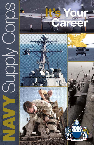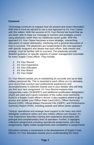#### **Foreword**

Technology continues to outpace how we present and share information. With that in mind we elected to use a new approach to *It's Your Career*  with this edition. With the success of *It's Your Record* we found that we are better able to keep our message to mentors and protégés current using playbooks rather than our traditional career guide. With this approach *It's Your Career* becomes a more strategic, overarching discussion of career philosophy, mentoring and a general discussion of how to succeed. The playbooks are fundamental to this new approach with specific programs and details that each officer, both mentor and protégé, must be familiar with to succeed. The playbooks provide detailed guidance on specific aspects of career management essentials for every Supply Corps officer. They include:

- *1. It's Your Record*
- *2. It's Your Experience*
- *3. It's Your Education*
- *4. It's Your Board*
- *5. It's Your Detail*

*It's Your Record* assists you in maintaining an accurate and up-to-date military personnel file. This is essential to each officer as it is ultimately your record that conveys your professional experiences and accomplishments to selection boards and to your detailer who will help you find your next assignment. *It's Your Record* explains how subspecialty codes (SUBSPEC) and additional qualification designators (AQD) are used and it gives examples of the codes most commonly found in a Supply Corps officer's record. It also explains where to go to access and update your Officer Data Card (ODC), Officer Summary Record (OSR), Official Military Personnel File (OMPF), and Performance Summary Report (PSR), including awards and officer photo updates.

Tactical, operational and strategic level support to the Navy and Joint Warfighter underpins where and why military officers are needed. *It's Your Experience* describes training and experience associated with principal and complementary lines of operation. Further, it highlights milestone assignments including operational assignments, joint duty assignments, highly visible assignments and competition in assignments.

Education remains a cornerstone in the development of Supply Corps officers. *It's Your Education* assists you in understanding the many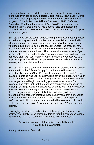educational programs available to you and how to take advantage of them. Opportunities begin with Basic Qualification at Navy Supply Corps School and include post graduate degree programs, executive training programs, Joint Professional Military Education (JPME), Defense Acquisition Workforce Improvement Act (DAWIA) training and return visits to Supply Corps School. This playbook also emphasizes the Academic Profile Code (APC) and how it is used when applying for post graduate programs.

*It's Your Board* assists you in understanding the selection board process for both statutory and administrative boards. It explains how and with whom boards are constituted, when you are eligible for consideration, what the guiding principles are for board members (the precept), how you can update your record and communicate with the board, and how board results are communicated. This is a very important aspect of your career that you must understand and you are encouraged to discuss this early and often with your mentors. A key element of your success as a Supply Corps officer will be your preparation for and selection in these statutory and administrative boards.

*It's Your Detail* gives you insight into the detailing process. Officer details are made from the Office of Supply Corps Personnel located in Millington, Tennessee (Navy Personnel Command, PERS-4412). This playbook identifies who your detailer will be at varying stages within your career and when you enter your detailing window. The detailing window is when you should begin negotiating your next set of orders. This playbook also helps highlight the more common permanent change of station (PCS) regulations and shows you where to look for more detailed answers. You are encouraged to seek advice from mentors before discussing your next assignment. Detailers will also guide you throughout your career in selecting those assignments that allow you to fulfill career milestones for promotion. This process has long been performed and will continue to be executed with three aspects in mind - (1) the needs of the Navy, (2) your career needs, and (3) your personal desires.

Leveraging the structure and contents of these playbooks we aim to assist every Supply Corps officer in attaining their full career aspirations. At the same time, as a community we aim to fulfill our mission,

> 'Delivering sustained global logistics capabilities to the Navy and Joint Warfighter.'

through attainment of our vision,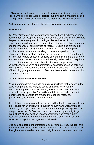'To produce autonomous, resourceful military logisticians with broad skills who deliver operational logistics, supply chain management, and acquisition and business capabilities to provide mission readiness.'

And execution of our strategy, the more dynamic of these aspects.

## **Introduction**

*It's Your Career* lays the foundation for every officer. It addresses career development philosophies, many of which have changed little in 20 years despite our emerging roles in contingencies and expeditionary environments. A discussion of career stages, the nature of assignments and the influence of communities of interest (COI) is also provided. It elaborates on those assignments that remain 'top tier' among mentors, provides a window into the detailing process and speaks to the importance of qualifications and career milestones. Overarching thoughts on how training and education benefits both our officers and the officers and commands we support is included. Finally, a discussion of esprit de corps that addresses general etiquette, the value of personal connections, wardrooms and professional associations, office calls and biographies is addressed. *It's Your Career* concludes with a discussion of balancing your personal and professional lives amidst our community vision and strategy.

# **Career Development Philosophies**

As you progress from ensign to captain, you will find that success in the Supply Corps, and the Navy, is based on a solid foundation of performance, professional reputation, a diverse field of education and your professional portfolio. The skills and talents needed to support maritime logistics efforts are provided through job rotations, qualifications, assignments and education.

Job rotations provide valuable technical and leadership training skills and experiences for an officer, while supporting Navy and Department of Defense (DoD) operations. Rotations broaden a Supply Corps officer's perspective of how DoD operates and provides an opportunity to gain a "big picture" of how logistics impacts operations and other supply activities. Job rotations are an important means of providing officers exposure to logistics management at all levels.

Qualifications document professional achievements. They include initial and follow-on warfare qualifications, functional subspecialties achieved through master's level education and significant experience tours, joint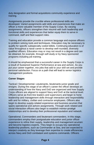duty designation and formal acquisitions community experience and training.

Assignments provide the crucible where professional skills are developed. Varied assignments add skills and experiences that make an officer a more valuable member of the Supply Corps. By varying assignments, officers strengthen their résumé with both leadership and functional skills and experiences that better equip them to serve in command, staff and fleet support roles.

Training and education provide a common language and expose officers to problem solving tools and techniques. Education may be necessary to qualify for specific subspecialty coded billets. Continuing education is of value throughout a naval career to develop well-rounded, diversely qualified officers. Education may or may not result in a degree and can be obtained, for example, through self-study or by Navy sponsored programs including job training.

It should be emphasized that a successful career in the Supply Corps is a result of Sustained Superior Performance at sea and ashore. As you put your career together, mix jobs that add to your skill set and provide personal satisfaction. Focus on a path that will lead to senior logistics management positions.

#### **Career Stages**

Tactical / Developmental. Lieutenants, lieutenants junior grade and ensigns. During this stage of an officer's career the officer develops an understanding of how the Navy and DoD are organized and how Supply Corps officers are aligned to support Navy and DoD at the tactical level. Officers serve as front line leaders and supervisors and begin to hone leadership and management skills through interaction and responsibility with and for military, civilian and contractor employees. Officers also begin to develop supply-related experience and business acumen that spans operational and ashore assignments. Through work related and social interaction officers also begin to establish mentor-protégé relationships and to develop their professional reputation and network.

Operational. Commanders and lieutenant commanders. In this stage, commanders employ their postgraduate education and junior officer experience to refine their supply, leadership and management acumen and become logistics experts. They begin to occupy key operational leadership positions, such as Commander at Sea, and are expected to interject creativity as they leverage their expertise to create efficiencies across Navy and DoD combatant and systems commands. Officers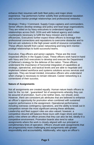enhance their resumes with both fleet policy and major shore experience. Top performers further solidify their professional reputation and nurture mentor-protégé relationships and professional networks.

Strategic / Policy / Command. Supply Corps captains and commanders. Senior officers develop strategy and policy and lead large organizations. They are relied on by Navy executives to understand logistics relationships across DoD, DON and with federal agency and civilian counterparts necessary to fulfill the Navy mission and to drive efficiencies. Executives further expect these officers to leverage their professional connections and reputations to overcome obstacles and to find win-win solutions in the high power world of resource competition. These officers benefit from career networking and long term mentorprotégé relationships to build successful teams.

Executive. Flag officers and senior captains. These are the most respected officers in the Supply Corps. These officers work hand-in-hand with Navy and DoD executives to develop and execute the Department of Defense's strategy for the defense of the nation. These officers understand the importance of horizontal integration of capabilities at strategic, operational, and tactical levels and are able to negotiate and implement related workforce and systems solutions across services and agencies. They are broad minded, innovative officers who understand when change is necessary to remain relevant. Career networking is a cornerstone of their success.

### **Nature of Assignments**

Not all assignments are created equally. Human nature leads officers to look for the 'no risk', 'guaranteed' list of assignments whereby they can be assured of promotion. Such a list neither does, nor should, exist. However, there are consistent job attributes that are believed to enhance an officer's opportunity for promotion when combined with sustained superior performance in the assignment. Operational performance, including overseas contingency operations, and the ability to break out in competition remain the most significant among these attributes. Leadership and fleet support roles are also valued; however, a competitive résumé will balance these tours with major shore and navy policy roles where an officer proves that they can also be led, ideally in a competitive environment. Promotion boards also tend to value assignments where the work is closely aligned with our principal or complimentary lines of operation. Officers should seek assignments that are progressively more challenging and assignments with greater responsibility and accountability. Additionally, who signs an officer's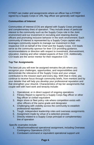FITREP can matter and assignments where an officer has a FITREP signed by a Supply Corps or URL flag officer are generally well regarded.

# **Communities of Interest**

Communities of Interest (COI) are aligned with Supply Corps principal and complementary lines of operation. They include areas of particular interest to the community such as the Supply Corps role in the Joint environment and our investment in recruiting and retaining diverse officers and promoting inclusive behavior in the work environment. Each community of interest is represented by a Supply Corps captain who leverages community experts to manage our investment in their respective COI on behalf of the Chief and the Supply Corps. COI leads serve as the community sponsor for their COI providing guidance, recommendations or direction with respect to investment, disinvestment, education, training and other related aspects of their COI. Additionally, COI leads are the senior mentor for their respective COI.

# **Top Tier Assignments**

The best job you will ever be assigned remains the job where you recognize your challenges, opportunities, and responsibilities and demonstrate the relevance of the Supply Corps and your unique contribution to the mission each and every day. With that in mind, you continue to receive focus through community briefs, from mentors and by your detailer that will help you develop your professional reputation and that strengthen your résumé. Characteristics of top tier assignments that couple well with hard work and tenacity include:

- 1. Operational, or in direct support of ongoing operations
- 2. Fitness Report is signed by a Supply Corps flag officer or other flag officer or civilian equivalent
- 3. Major shore or fleet policy role where competition exists with other officers of the same grade and designator
- 4. Challenging with visibility across the community to establish professional reputation
- 5. Tough, independent leadership roles and overseas assignments
- 6. Assignment made by virtue of a selection process
- 7. Directly related to a Supply Corps principal or complementary line of operation

Specific examples include:

- 1. Afloat/nontraditional operational assignment, including Overseas Contingency Operations (OCO)
- 2. Combatant command or equivalent operational support unit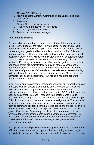- 3. OPNAV / SECNAV staff
- 4. Navy and Joint Systems Command or equivalent, including internships
- 5. Flag aide
- 6. Supply Corps School instructor
- 7. Training with Industry (TWI) internship
- 8. 810 / 811 graduate education
- 9. Detailer or community manager

## **The Detailing Process**

As pointed out earlier, this process is executed with three aspects in mind - (1) the needs of the Navy, (2) your career needs, and (3) your personal desires. Detailing Supply Corps officers in the grades of ensign, lieutenant junior grade and lieutenant is somewhat routine. Officers graduating from BQC can expect to be detailed to their first operational assignment where they will develop division officer or department head skills and are expected to earn their initial warfare designation, if available. Following this assignment officers will negotiate orders ashore and these orders are typically followed by an officers second set of operational orders. In some cases an officer may negotiate Overseas Contingency Operations (OCO) orders or be selected to serve as a flag aide in addition to their career milestone assignments. Most officers who complete their second operational tour will next negotiate orders to attend graduate school.

Initial operational assignments include independent duty opportunities as the Supply Officer aboard a submarine or a Mine Counter Measures (MCM) ship. Initial assignments weigh an officers 'fitness' for independent duty, the officer's performance during BQC and the officer's specific assignment interest. First shore tour assignments include competitive internships, top tier assignments such as flag aide or Supply School instructor, and other non-competitive assignments. These top tier assignments are generally made using a slating process whereby the gaining command assesses candidate experience and fitness to serve in the assignment. This type of slating is the exception, vice the rule for junior officer billets. Conversely, as officers become more senior and compete for top tier assignments slating becomes more common. For this reason officers are continually reminded about the importance of sustained superior performance, challenging assignments and professional networking.

Job opportunities are published by the Supply Corps Office of Personnel (OP) and represent projected opportunities according to when they will be available, or vacant. Officers should begin thinking about the type and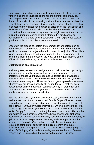location of their next assignment well before they enter their detailing window and are encouraged to engage mentors for career advice. Detailing windows are addressed in *It's Your Detail*, but as a rule of thumb officers should be narrowing their choices as they enter their final year of their current assignment. Additionally, officers should be realistic in assessing their fitness for a particular billet given their education and experience. Officers should also consider what they need to be competitive for a particular assignment that might interest them such as taking the graduate records exam if interested in grad school or completing JPME phase one if interested in a joint experience tour. A good rule of thumb is to plan three tours ahead.

Officers in the grades of captain and commander are detailed on an annual basis. These officers provide their preferences to their detailer well in advance of the projected rotation date. Unlike junior officer billets, slating is more the rule than the exception for these assignments. It is also more likely that the needs of the Navy and the qualifications of the officer will drive a detailing decision and subsequent orders.

#### **Qualifications and Milestones**

In virtually every operational assignment you will have the opportunity to participate in a Supply Corps warfare specialty program. These programs enhance your knowledge and understanding of weapons platforms and contribute to a more credible relationship with your line and non-line counterparts. These warfare programs provide a framework whereby you will develop specific skills, and the AQD that you earn serves as a significant aspect of consideration by all promotion and selection boards. Evidence in your record of warfare qualification is nearly always your first career milestone.

At some point during your first operational tour you are encouraged to seek the counsel of a more seasoned Supply Corps officer, or mentor. You will want to discuss submitting your request to compete for one of approximately 80 Supply Corps internships, which, sets the stage for a shore assignment where you will participate in your internship or other similar Supply Corps related on-the-job assignment ashore. Also worthy of discussion is an assignment before, during or after your first shore assignment in an overseas contingency assignment or the opportunity to gain an executive perspective on the Navy and the Supply Corps by serving as a flag aide. Once ashore you will also want to consider a request to compete for selection to the 810 program or request consideration to participate in the 811 program. These prized programs allow 10-15 Supply Corps officers each year to attend one of *Business Week's* Top 30 universities that convey a Masters in Business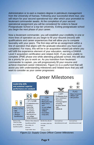Administration or to earn a masters degree in petroleum management from the University of Kansas. Following your successful shore tour, you will return for your second operational tour after which your promotion to lieutenant commander awaits. At the completion of your second operational assignment you will be considered for orders to Naval Postgraduate School or a top tier university. Exiting postgraduate school you begin the next phase of your career.

Now a lieutenant commander, you will establish your credibility in one or more lines of operation as you begin to fill your résumé (record) with qualifications and career experiences that will allow you to compete favorably with your peers. The first step will be an assignment within a line of operation that aligns with the graduate education you have just completed. For many, this will be in an acquisition related job where you will fulfill the experience element of your education, earning a DAWIA Level II acquisition certification and related AQD. If you were unable to complete JPME phase one while attending graduate school, this will also be a priority for you to work on. As you transition from lieutenant commander to captain, you will progressively fill your resume and achieve important career milestones. Figure (1) is a useful tool that will assist you with understanding milestones and related tours that you will want to consider as your career progresses:



*Figure (1): Supply Corps Officer Career Milestones*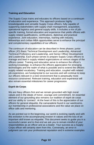## **Training and Education**

The Supply Corps trains and educates its officers based on a continuum of education and experience. This approach produces highly knowledgeable and versatile Supply Corps officers, fully capable of supporting stakeholders with supply chain management, acquisition, operational logistics and general supply skills. It includes a mix of jobspecific training, formal education and experience that yields officers with supply related qualifications, certifications, diplomas and practical experience. Joint education, internships, training with industry, fellowships and civilian MBA opportunities serve to enhance the principal and complementary capabilities of our officers.

The continuum of education can be described in three phases: junior officer (JO) Basic Technical Development and Leadership, Advanced Technical Proficiency and Leadership, and Senior Officer Development and Leadership. Each phase serves to prepare Supply Corps officers to manage and lead in supply related organizations at various stages of the officers career. Training and education serve to enhance the officer's working knowledge, to enhance the officers appreciation for emerging technologies and the realm of what is possible and to extend the officers supply related vocabulary. Training and education, coupled with related job experience, are fundamental to our success and will continue to keep our officers relevant in a DoD environment that is perpetually more resource constrained. Relevant training, education and experience will also remain essential milestones for career progression.

### **Esprit de Corps**

We are Navy officers first and we remain grounded with high moral values and in the ideals of honor, courage and commitment. An essential element of our grounding also remains our tradition of esprit de corps and our ability to 'connect'. At the heart of this is the appreciation of our officers for general etiquette, the camaraderie found in our wardrooms, our membership in professional associations and the value we place on office calls and mentoring.

As we pointed out in the beginning, our world is evolving rapidly and with this evolution is the accompanying erosion in values and the loss of an important skill known as etiquette. This document seeks to guide you in a successful career and to that end we ask you to remain mindful of your responsibilities as an officer and as a leader. Your success as a Supply Corps officer will certainly stem from this. Conversely, an error in judgment can ruin your professional reputation and in extreme examples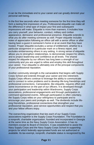it can be the immediate end to your career and can greatly diminish your personal well-being.

In the first few seconds when meeting someone for the first time they will form a lasting first impression of you. Professional etiquette can make all the difference in what type of impact your first and subsequent impressions will make. Etiquette is more than manners. It includes how you carry yourself, your behavior, conduct, military and civilian appearance, demeanor and professional presence. Etiquette extends to what you do after meeting someone as well. Proper etiquette includes notes of appreciation following an office call with a senior officer or after having been a guest in someone's home or at an event that they have hosted. Proper etiquette excludes a sense of entitlement, whether to a particular assignment or a particular mark on a fitness report, and excludes embarrassing others in any setting. A strong sense of etiquette allows you to strengthen relationships, to demonstrate respect for others, and to project leadership and confidence at all levels. The shared respect for etiquette by our officers has long been a strength of our community and you are urged to refine and employ this skill throughout your career. Your etiquette is ultimately one of the principal components of your professional reputation.

Another community strength is the camaraderie that begins with Supply Corps School and extends through your career and into retirement. Supply Corps officers continue to leverage the ability to communicate and to connect to solve problems and to develop life-long friendships and professional connections. Camaraderie, like etiquette, requires effort and some inconvenience on the part of our officers. It is developed through your participation and leadership within Wardrooms, Supply Corps associations, professional engagements and through participation in command sponsored events. Although participation is often voluntary, the Supply Corps relies on your willingness to participate and to encourage your peers and protégés as well. The dividends include lifelong friendships, professional connections that strengthen your professional reputation, post service opportunities and respect that you and your fellow officers enjoy.

The overarching organization that ties each of our Supply Corps associations together is the Supply Corps Foundation. The Foundation is a nonprofit, charitable organization, founded and incorporated in Georgia at the same time as the Navy Supply Corps Association. It has no members except its Board of Directors. It was established to assist the Navy Supply Corps and the Navy Supply Corps School in supporting projects for which federally appropriated funds are not authorized or available. Its tax-exempt, nonprofit, charitable status is recognized by the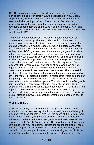IRS. The major purpose of the Foundation is to provide assistance, in the form of scholarships or in other ways, to dependents of Navy Supply Corps officers, warrant officers and enlisted personnel of the ratings associated with the Supply Corps. The amount of Foundation scholarships awarded each year has continued to grow due to the continuing support from the entire Supply Corps community. Over one million dollars in scholarships have been awarded since the program was established in 1971.

The mentor-protégé relationship is another important aspect of our success as a community. The term, 'relationship', is important. A relationship is a two-way street. As such, the relationship is particularly effective when there is mutual respect between the parties and when common interest exists. Although each officer is introduced to mentoring as they depart BQC by assignment of a mentor in geographic proximity to their first assignment, ultimately, officers are most likely to achieve enduring mentor-protégé relationships as a result of their participation in wardrooms, Supply Corps associations and similar organizations and events. Mentor-protégé relationships are often the byproduct of a successful tour whereby junior and senior officers who have served together develop a bond out of mutual respect, common personal interests and interest in seeing one another succeed. The successful mentor-protégé relationship is not one where there are expectations by either the mentor or protégé, but rather a relationship where both mentor and protégé seek each other out for both professional insight and personal and professional development. The relationship benefits greatly from interaction in more social settings. This might include a Supply Corps Birthday Ball, a golf outing, getting together for PT or having lunch together. The relationship also benefits from inclusion of family members. Mentoring is routinely thought of as a senior mentor assisting a junior protégé; however, successful mentoring often occurs in peer-topeer relationships.

### **Work-Life Balance**

Again, we are Navy officers first and the assignment process must account for the mission. As explained earlier, assignments will always be executed with three aspects in mind - (1) the needs of the Navy, (2) your career needs, and (3) your personal desires. Ultimately, successful officers will find balance between assignments and their personal lives. Male and female Supply Corps officers alike have found this balance and continue to lead Navy and Joint organizations around the globe. These officers recognize that balance relies on productivity, efficiency and innovation rather than punching a clock or measuring success by hours served. These officers also build on the strengths of officers with whom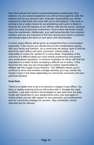they have served and seek to avoid perpetuating weaknesses they observe. As your career progresses you will be encouraged to seek this balance and as you assume roles of greater responsibility you will be expected to help those who work with you to find balance. Tele-work is proving to be a viable means for accomplishing work and it is likely to improve the work-life balance of our officers well into the future; however, given the value of personal connections, face-to-face interaction should never be overlooked. Additionally, your well being benefits from physical exertion and you are expected to find time during each week to exercise and should expect the same of your peers and subordinates.

In some cases officers will be given an assignment that is inconvenient personally. If this occurs you should discuss the complications openly with your family and mentors. As a community we always seek to find the best fit for each officer and each command. Unfortunately, it is impossible to create the 'perfect fit' in every detail. Regardless of the outcome of a difficult detail you must remain professional and protect your professional reputation. In extreme examples an officer will find that separation is a better fit than accepting a difficult set of orders. If this becomes the case you are encouraged to explore opportunities to affiliate with the Supply Corps Reserve. This affiliation allows you to continue to serve and remains a bridge whereby you may reenter the Supply Corps in the future depending on community vacancies and your personal situation.

#### **Final Note**

There is no better time to be or to become a Supply Corps officer. Our Navy is rapidly evolving and you will evolve with it. Despite this rapid evolution, I ask both mentors and protégés to step back from the daily hustle and movement in your assignments every now and again to review where you are with respect to your personal, your professional and our community strategy for success. Stay connected, remain informed and be relevant.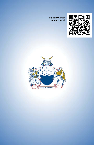*It's Your Career* is on the web  $\rightarrow$